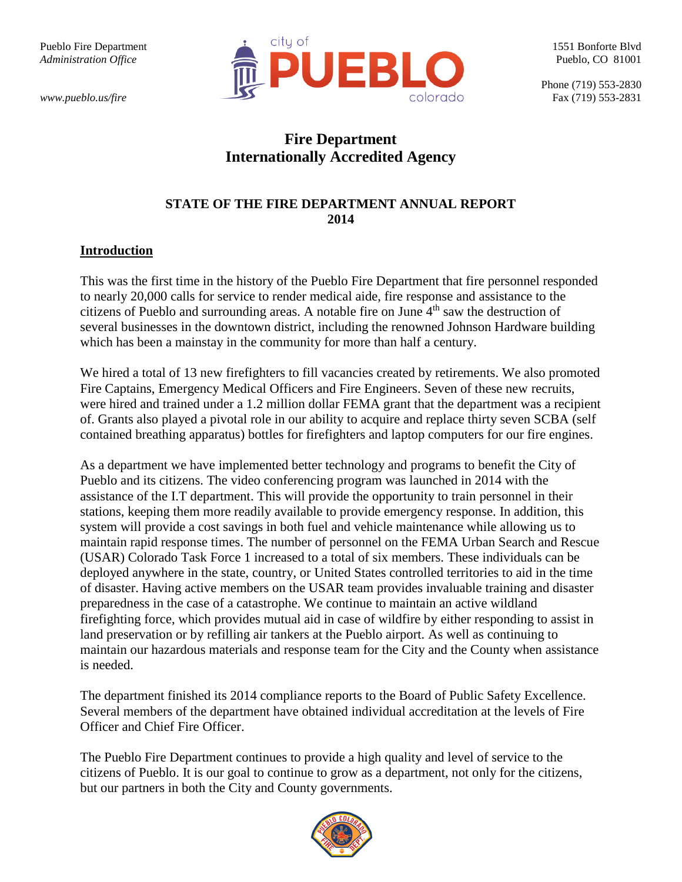

# **Fire Department Internationally Accredited Agency**

## **STATE OF THE FIRE DEPARTMENT ANNUAL REPORT 2014**

#### **Introduction**

This was the first time in the history of the Pueblo Fire Department that fire personnel responded to nearly 20,000 calls for service to render medical aide, fire response and assistance to the citizens of Pueblo and surrounding areas. A notable fire on June 4<sup>th</sup> saw the destruction of several businesses in the downtown district, including the renowned Johnson Hardware building which has been a mainstay in the community for more than half a century.

We hired a total of 13 new firefighters to fill vacancies created by retirements. We also promoted Fire Captains, Emergency Medical Officers and Fire Engineers. Seven of these new recruits, were hired and trained under a 1.2 million dollar FEMA grant that the department was a recipient of. Grants also played a pivotal role in our ability to acquire and replace thirty seven SCBA (self contained breathing apparatus) bottles for firefighters and laptop computers for our fire engines.

As a department we have implemented better technology and programs to benefit the City of Pueblo and its citizens. The video conferencing program was launched in 2014 with the assistance of the I.T department. This will provide the opportunity to train personnel in their stations, keeping them more readily available to provide emergency response. In addition, this system will provide a cost savings in both fuel and vehicle maintenance while allowing us to maintain rapid response times. The number of personnel on the FEMA Urban Search and Rescue (USAR) Colorado Task Force 1 increased to a total of six members. These individuals can be deployed anywhere in the state, country, or United States controlled territories to aid in the time of disaster. Having active members on the USAR team provides invaluable training and disaster preparedness in the case of a catastrophe. We continue to maintain an active wildland firefighting force, which provides mutual aid in case of wildfire by either responding to assist in land preservation or by refilling air tankers at the Pueblo airport. As well as continuing to maintain our hazardous materials and response team for the City and the County when assistance is needed.

The department finished its 2014 compliance reports to the Board of Public Safety Excellence. Several members of the department have obtained individual accreditation at the levels of Fire Officer and Chief Fire Officer.

The Pueblo Fire Department continues to provide a high quality and level of service to the citizens of Pueblo. It is our goal to continue to grow as a department, not only for the citizens, but our partners in both the City and County governments.

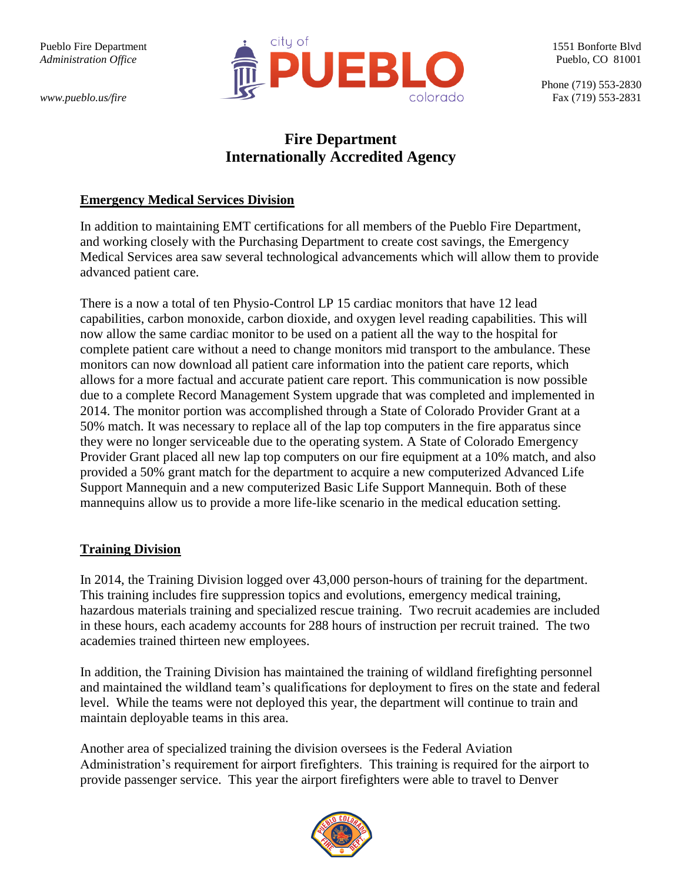

# **Fire Department Internationally Accredited Agency**

#### **Emergency Medical Services Division**

In addition to maintaining EMT certifications for all members of the Pueblo Fire Department, and working closely with the Purchasing Department to create cost savings, the Emergency Medical Services area saw several technological advancements which will allow them to provide advanced patient care.

There is a now a total of ten Physio-Control LP 15 cardiac monitors that have 12 lead capabilities, carbon monoxide, carbon dioxide, and oxygen level reading capabilities. This will now allow the same cardiac monitor to be used on a patient all the way to the hospital for complete patient care without a need to change monitors mid transport to the ambulance. These monitors can now download all patient care information into the patient care reports, which allows for a more factual and accurate patient care report. This communication is now possible due to a complete Record Management System upgrade that was completed and implemented in 2014. The monitor portion was accomplished through a State of Colorado Provider Grant at a 50% match. It was necessary to replace all of the lap top computers in the fire apparatus since they were no longer serviceable due to the operating system. A State of Colorado Emergency Provider Grant placed all new lap top computers on our fire equipment at a 10% match, and also provided a 50% grant match for the department to acquire a new computerized Advanced Life Support Mannequin and a new computerized Basic Life Support Mannequin. Both of these mannequins allow us to provide a more life-like scenario in the medical education setting.

## **Training Division**

In 2014, the Training Division logged over 43,000 person-hours of training for the department. This training includes fire suppression topics and evolutions, emergency medical training, hazardous materials training and specialized rescue training. Two recruit academies are included in these hours, each academy accounts for 288 hours of instruction per recruit trained. The two academies trained thirteen new employees.

In addition, the Training Division has maintained the training of wildland firefighting personnel and maintained the wildland team's qualifications for deployment to fires on the state and federal level. While the teams were not deployed this year, the department will continue to train and maintain deployable teams in this area.

Another area of specialized training the division oversees is the Federal Aviation Administration's requirement for airport firefighters. This training is required for the airport to provide passenger service. This year the airport firefighters were able to travel to Denver

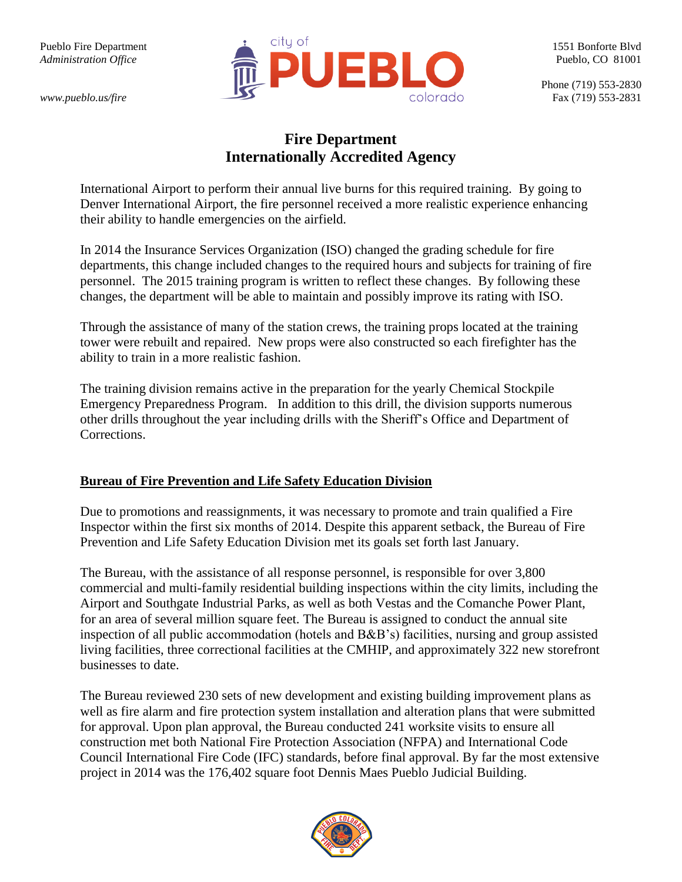

# **Fire Department Internationally Accredited Agency**

International Airport to perform their annual live burns for this required training. By going to Denver International Airport, the fire personnel received a more realistic experience enhancing their ability to handle emergencies on the airfield.

In 2014 the Insurance Services Organization (ISO) changed the grading schedule for fire departments, this change included changes to the required hours and subjects for training of fire personnel. The 2015 training program is written to reflect these changes. By following these changes, the department will be able to maintain and possibly improve its rating with ISO.

Through the assistance of many of the station crews, the training props located at the training tower were rebuilt and repaired. New props were also constructed so each firefighter has the ability to train in a more realistic fashion.

The training division remains active in the preparation for the yearly Chemical Stockpile Emergency Preparedness Program. In addition to this drill, the division supports numerous other drills throughout the year including drills with the Sheriff's Office and Department of Corrections.

## **Bureau of Fire Prevention and Life Safety Education Division**

Due to promotions and reassignments, it was necessary to promote and train qualified a Fire Inspector within the first six months of 2014. Despite this apparent setback, the Bureau of Fire Prevention and Life Safety Education Division met its goals set forth last January.

The Bureau, with the assistance of all response personnel, is responsible for over 3,800 commercial and multi-family residential building inspections within the city limits, including the Airport and Southgate Industrial Parks, as well as both Vestas and the Comanche Power Plant, for an area of several million square feet. The Bureau is assigned to conduct the annual site inspection of all public accommodation (hotels and B&B's) facilities, nursing and group assisted living facilities, three correctional facilities at the CMHIP, and approximately 322 new storefront businesses to date.

The Bureau reviewed 230 sets of new development and existing building improvement plans as well as fire alarm and fire protection system installation and alteration plans that were submitted for approval. Upon plan approval, the Bureau conducted 241 worksite visits to ensure all construction met both National Fire Protection Association (NFPA) and International Code Council International Fire Code (IFC) standards, before final approval. By far the most extensive project in 2014 was the 176,402 square foot Dennis Maes Pueblo Judicial Building.